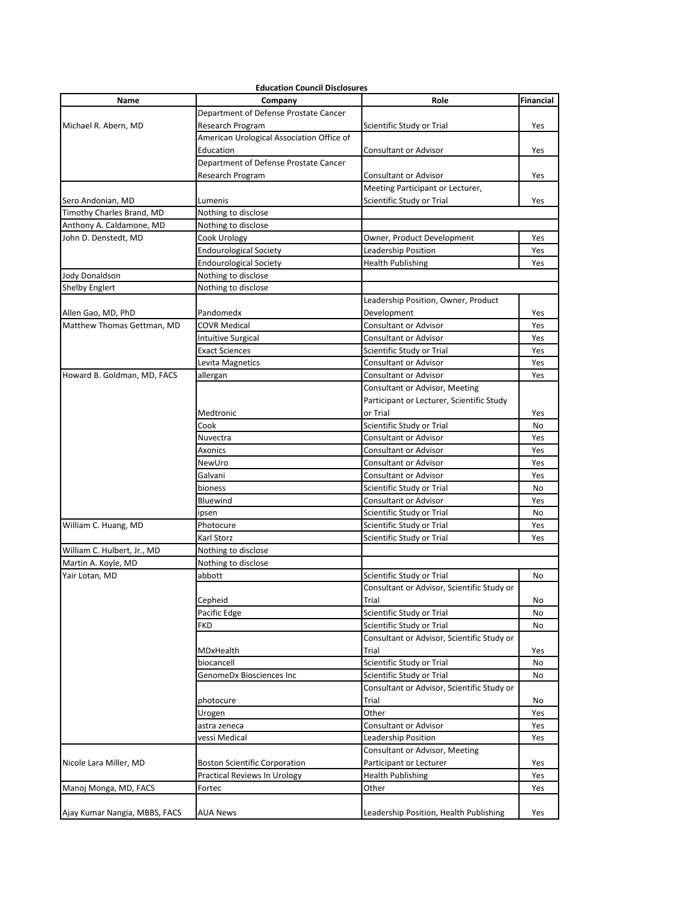|                               | <b>Education Council Disclosures</b>      |                                            |                  |
|-------------------------------|-------------------------------------------|--------------------------------------------|------------------|
| Name                          | Company                                   | Role                                       | <b>Financial</b> |
|                               | Department of Defense Prostate Cancer     |                                            |                  |
| Michael R. Abern, MD          | Research Program                          | Scientific Study or Trial                  | Yes              |
|                               | American Urological Association Office of |                                            |                  |
|                               | Education                                 | Consultant or Advisor                      | Yes              |
|                               | Department of Defense Prostate Cancer     |                                            |                  |
|                               | Research Program                          | <b>Consultant or Advisor</b>               | Yes              |
|                               |                                           | Meeting Participant or Lecturer,           |                  |
| Sero Andonian, MD             | Lumenis                                   | Scientific Study or Trial                  | Yes              |
| Timothy Charles Brand, MD     | Nothing to disclose                       |                                            |                  |
| Anthony A. Caldamone, MD      | Nothing to disclose                       |                                            |                  |
| John D. Denstedt, MD          | Cook Urology                              | Owner, Product Development                 | Yes              |
|                               | <b>Endourological Society</b>             | Leadership Position                        | Yes              |
|                               | Endourological Society                    | <b>Health Publishing</b>                   | Yes              |
| Jody Donaldson                | Nothing to disclose                       |                                            |                  |
| <b>Shelby Englert</b>         | Nothing to disclose                       |                                            |                  |
|                               |                                           | Leadership Position, Owner, Product        |                  |
| Allen Gao, MD, PhD            | Pandomedx                                 | Development                                | Yes              |
| Matthew Thomas Gettman, MD    | <b>COVR Medical</b>                       | Consultant or Advisor                      | Yes              |
|                               | <b>Intuitive Surgical</b>                 | Consultant or Advisor                      | Yes              |
|                               | Exact Sciences                            | Scientific Study or Trial                  | Yes              |
|                               | Levita Magnetics                          | <b>Consultant or Advisor</b>               | Yes              |
| Howard B. Goldman, MD, FACS   | allergan                                  | Consultant or Advisor                      | Yes              |
|                               |                                           | Consultant or Advisor, Meeting             |                  |
|                               |                                           | Participant or Lecturer, Scientific Study  |                  |
|                               | Medtronic                                 | or Trial                                   | Yes              |
|                               | Cook                                      | Scientific Study or Trial                  | No               |
|                               | Nuvectra                                  | <b>Consultant or Advisor</b>               | Yes              |
|                               | Axonics                                   | <b>Consultant or Advisor</b>               | Yes              |
|                               | NewUro                                    | <b>Consultant or Advisor</b>               | Yes              |
|                               | Galvani                                   | <b>Consultant or Advisor</b>               | Yes              |
|                               | bioness                                   | Scientific Study or Trial                  | No               |
|                               | Bluewind                                  | Consultant or Advisor                      | Yes              |
|                               | ipsen                                     | Scientific Study or Trial                  | No               |
| William C. Huang, MD          | Photocure                                 | Scientific Study or Trial                  | Yes              |
|                               | Karl Storz                                | Scientific Study or Trial                  | Yes              |
| William C. Hulbert, Jr., MD   | Nothing to disclose                       |                                            |                  |
| Martin A. Koyle, MD           | Nothing to disclose                       |                                            |                  |
| Yair Lotan, MD                | abbott                                    | Scientific Study or Trial                  | No               |
|                               |                                           | Consultant or Advisor, Scientific Study or |                  |
|                               | Cepheid                                   | Trial                                      | No               |
|                               | Pacific Edge                              | Scientific Study or Trial                  | No               |
|                               | FKD                                       | Scientific Study or Trial                  | No               |
|                               |                                           | Consultant or Advisor, Scientific Study or |                  |
|                               |                                           | Trial                                      |                  |
|                               | MDxHealth                                 |                                            | Yes              |
|                               | biocancell                                | Scientific Study or Trial                  | No               |
|                               | GenomeDx Biosciences Inc                  | Scientific Study or Trial                  | No               |
|                               |                                           | Consultant or Advisor, Scientific Study or |                  |
|                               | photocure                                 | Trial                                      | No               |
|                               | Urogen                                    | Other                                      | Yes              |
|                               | astra zeneca                              | <b>Consultant or Advisor</b>               | Yes              |
|                               | vessi Medical                             | Leadership Position                        | Yes              |
|                               |                                           | Consultant or Advisor, Meeting             |                  |
| Nicole Lara Miller, MD        | <b>Boston Scientific Corporation</b>      | Participant or Lecturer                    | Yes              |
|                               | Practical Reviews In Urology              | <b>Health Publishing</b>                   | Yes              |
| Manoj Monga, MD, FACS         | Fortec                                    | Other                                      | Yes              |
| Ajay Kumar Nangia, MBBS, FACS | AUA News                                  | Leadership Position, Health Publishing     | Yes              |